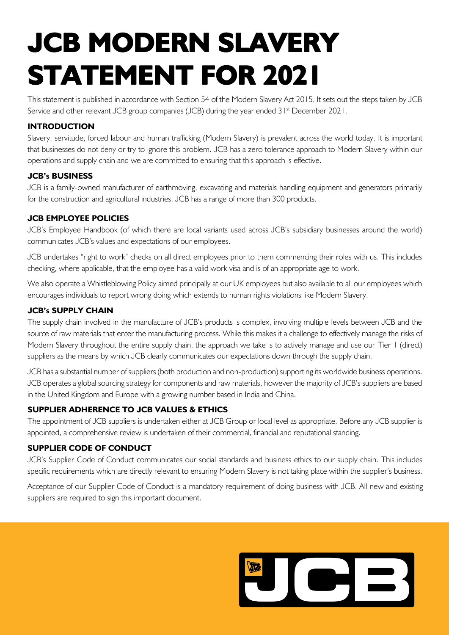# **JCB MODERN SLAVERY STATEMENT FOR 2021**

This statement is published in accordance with Section 54 of the Modern Slavery Act 2015. It sets out the steps taken by JCB Service and other relevant JCB group companies (JCB) during the year ended 31<sup>st</sup> December 2021.

# **INTRODUCTION**

Slavery, servitude, forced labour and human trafficking (Modern Slavery) is prevalent across the world today. It is important that businesses do not deny or try to ignore this problem. JCB has a zero tolerance approach to Modern Slavery within our operations and supply chain and we are committed to ensuring that this approach is effective.

#### **JCB's BUSINESS**

JCB is a family-owned manufacturer of earthmoving, excavating and materials handling equipment and generators primarily for the construction and agricultural industries. JCB has a range of more than 300 products.

# **JCB EMPLOYEE POLICIES**

JCB's Employee Handbook (of which there are local variants used across JCB's subsidiary businesses around the world) communicates JCB's values and expectations of our employees.

JCB undertakes "right to work" checks on all direct employees prior to them commencing their roles with us. This includes checking, where applicable, that the employee has a valid work visa and is of an appropriate age to work.

We also operate a Whistleblowing Policy aimed principally at our UK employees but also available to all our employees which encourages individuals to report wrong doing which extends to human rights violations like Modern Slavery.

# **JCB's SUPPLY CHAIN**

The supply chain involved in the manufacture of JCB's products is complex, involving multiple levels between JCB and the source of raw materials that enter the manufacturing process. While this makes it a challenge to effectively manage the risks of Modern Slavery throughout the entire supply chain, the approach we take is to actively manage and use our Tier 1 (direct) suppliers as the means by which JCB clearly communicates our expectations down through the supply chain.

JCB has a substantial number of suppliers (both production and non-production) supporting its worldwide business operations. JCB operates a global sourcing strategy for components and raw materials, however the majority of JCB's suppliers are based in the United Kingdom and Europe with a growing number based in India and China.

# **SUPPLIER ADHERENCE TO JCB VALUES & ETHICS**

The appointment of JCB suppliers is undertaken either at JCB Group or local level as appropriate. Before any JCB supplier is appointed, a comprehensive review is undertaken of their commercial, financial and reputational standing.

# **SUPPLIER CODE OF CONDUCT**

JCB's Supplier Code of Conduct communicates our social standards and business ethics to our supply chain. This includes specific requirements which are directly relevant to ensuring Modern Slavery is not taking place within the supplier's business.

Acceptance of our Supplier Code of Conduct is a mandatory requirement of doing business with JCB. All new and existing suppliers are required to sign this important document.